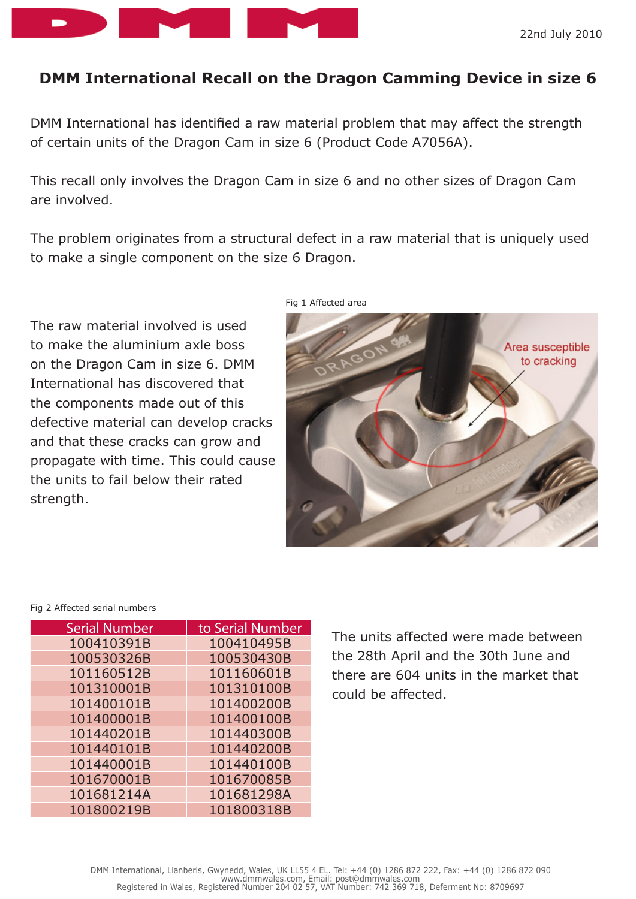

## **DMM International Recall on the Dragon Camming Device in size 6**

DMM International has identified a raw material problem that may affect the strength of certain units of the Dragon Cam in size 6 (Product Code A7056A).

This recall only involves the Dragon Cam in size 6 and no other sizes of Dragon Cam are involved.

The problem originates from a structural defect in a raw material that is uniquely used to make a single component on the size 6 Dragon.

The raw material involved is used to make the aluminium axle boss on the Dragon Cam in size 6. DMM International has discovered that the components made out of this defective material can develop cracks and that these cracks can grow and propagate with time. This could cause the units to fail below their rated strength.



Fig 2 Affected serial numbers

| <b>Serial Number</b> | to Serial Number |
|----------------------|------------------|
| 100410391B           | 100410495B       |
| 100530326B           | 100530430B       |
| 101160512B           | 101160601B       |
| 101310001B           | 101310100B       |
| 101400101B           | 101400200B       |
| 101400001B           | 101400100B       |
| 101440201B           | 101440300B       |
| 101440101B           | 101440200B       |
| 101440001B           | 101440100B       |
| 101670001B           | 101670085B       |
| 101681214A           | 101681298A       |
| 101800219B           | 101800318B       |

The units affected were made between the 28th April and the 30th June and there are 604 units in the market that could be affected.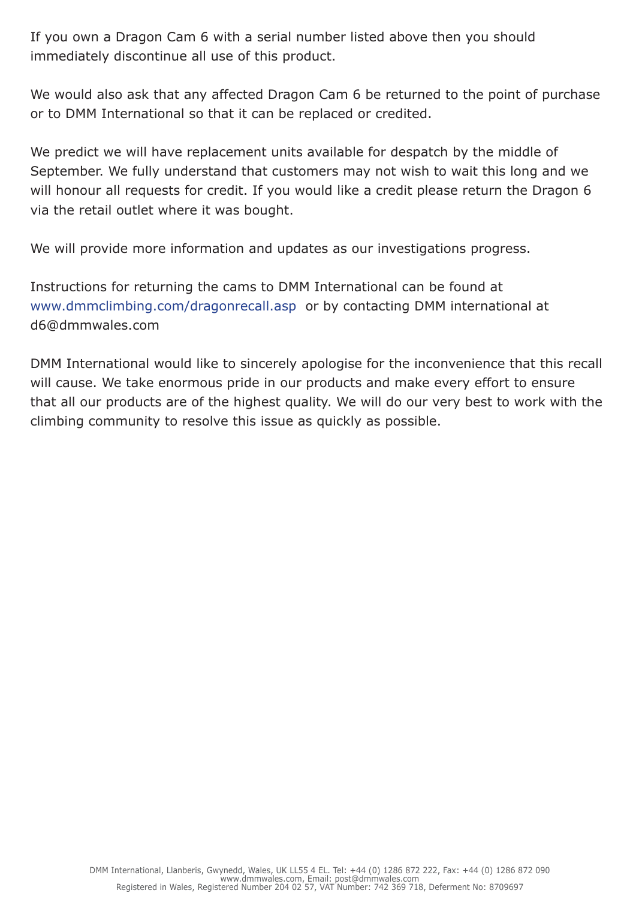If you own a Dragon Cam 6 with a serial number listed above then you should immediately discontinue all use of this product.

We would also ask that any affected Dragon Cam 6 be returned to the point of purchase or to DMM International so that it can be replaced or credited.

We predict we will have replacement units available for despatch by the middle of September. We fully understand that customers may not wish to wait this long and we will honour all requests for credit. If you would like a credit please return the Dragon 6 via the retail outlet where it was bought.

We will provide more information and updates as our investigations progress.

Instructions for returning the cams to DMM International can be found at www.dmmclimbing.com/dragonrecall.asp or by contacting DMM international at d6@dmmwales.com

DMM International would like to sincerely apologise for the inconvenience that this recall will cause. We take enormous pride in our products and make every effort to ensure that all our products are of the highest quality. We will do our very best to work with the climbing community to resolve this issue as quickly as possible.